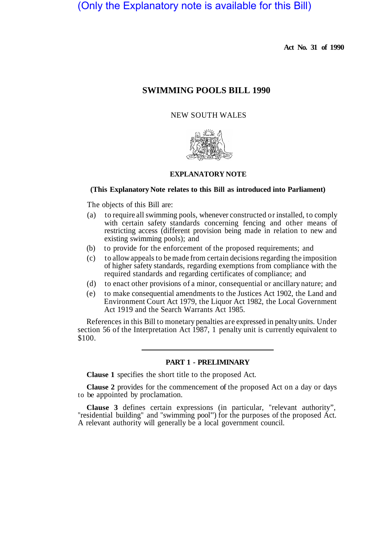# (Only the Explanatory note is available for this Bill)

**Act No. 31 of 1990** 

# **SWIMMING POOLS BILL 1990**

## NEW SOUTH WALES



# **EXPLANATORY NOTE**

### **(This Explanatory Note relates to this Bill as introduced into Parliament)**

The objects of this Bill are:

- (a) to require all swimming pools, whenever constructed or installed, to comply with certain safety standards concerning fencing and other means of restricting access (different provision being made in relation to new and existing swimming pools); and
- (b) to provide for the enforcement of the proposed requirements; and
- (c) to allow appeals to be made from certain decisions regarding the imposition of higher safety standards, regarding exemptions from compliance with the required standards and regarding certificates of compliance; and
- (d) to enact other provisions of a minor, consequential or ancillary nature; and
- (e) to make consequential amendments to the Justices Act 1902, the Land and Environment Court Act 1979, the Liquor Act 1982, the Local Government Act 1919 and the Search Warrants Act 1985.

References in this Bill to monetary penalties are expressed in penalty units. Under section 56 of the Interpretation Act 1987, 1 penalty unit is currently equivalent to \$100.

### **PART 1 - PRELIMINARY**

**Clause 1** specifies the short title to the proposed Act.

**Clause 2** provides for the commencement of the proposed Act on a day or days to be appointed by proclamation.

**Clause 3** defines certain expressions (in particular, "relevant authority", "residential building" and "swimming pool") for the purposes of the proposed Act. A relevant authority will generally be a local government council.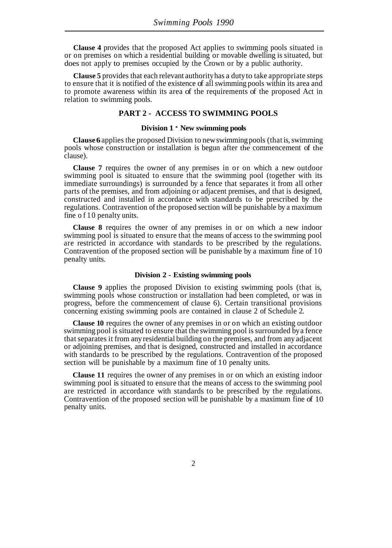**Clause 4** provides that the proposed Act applies to swimming pools situated in or on premises on which a residential building or movable dwelling is situated, but does not apply to premises occupied by the Crown or by a public authority.

**Clause 5** provides that each relevant authority has a duty to take appropriate steps to ensure that it is notified of the existence of all swimming pools within its area and to promote awareness within its area of the requirements of the proposed Act in relation to swimming pools.

# **PART 2 - ACCESS TO SWIMMING POOLS**

### **Division 1** - **New swimming pools**

**Clause 6** applies the proposed Division to new swimming pools (that is, swimming pools whose construction or installation is begun after the commencement of the clause).

**Clause 7** requires the owner of any premises in or on which a new outdoor swimming pool is situated to ensure that the swimming pool (together with its immediate surroundings) is surrounded by a fence that separates it from all other parts of the premises, and from adjoining or adjacent premises, and that is designed, constructed and installed in accordance with standards to be prescribed by the regulations. Contravention of the proposed section will be punishable by a maximum fine of 10 penalty units.

**Clause 8** requires the owner of any premises in or on which a new indoor swimming pool is situated to ensure that the means of access to the swimming pool are restricted in accordance with standards to be prescribed by the regulations. Contravention of the proposed section will be punishable by a maximum fine of 10 penalty units.

#### **Division 2 - Existing swimming pools**

**Clause 9** applies the proposed Division to existing swimming pools (that is, swimming pools whose construction or installation had been completed, or was in progress, before the commencement of clause 6). Certain transitional provisions concerning existing swimming pools are contained in clause 2 of Schedule 2.

**Clause 10** requires the owner of any premises in or on which an existing outdoor swimming pool is situated to ensure that the swimming pool is surrounded by a fence that separates it from any residential building on the premises, and from any adjacent or adjoining premises, and that is designed, constructed and installed in accordance with standards to be prescribed by the regulations. Contravention of the proposed section will be punishable by a maximum fine of 10 penalty units.

**Clause 11** requires the owner of any premises in or on which an existing indoor swimming pool is situated to ensure that the means of access to the swimming pool are restricted in accordance with standards to be prescribed by the regulations. Contravention of the proposed section will be punishable by a maximum fine of 10 penalty units.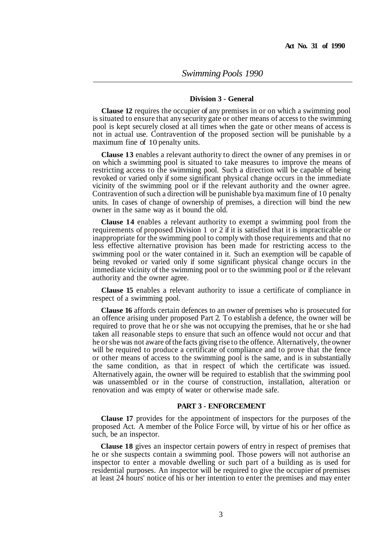### **Division 3 - General**

**Clause 12** requires the occupier of any premises in or on which a swimming pool is situated to ensure that any security gate or other means of access to the swimming pool is kept securely closed at all times when the gate or other means of access is not in actual use. Contravention of the proposed section will be punishable by a maximum fine of 10 penalty units.

**Clause 13** enables a relevant authority to direct the owner of any premises in or on which a swimming pool is situated to take measures to improve the means of restricting access to the swimming pool. Such a direction will be capable of being revoked or varied only if some significant physical change occurs in the immediate vicinity of the swimming pool or if the relevant authority and the owner agree. Contravention of such a direction will be punishable by a maximum fine of 10 penalty units. In cases of change of ownership of premises, a direction will bind the new owner in the same way as it bound the old.

**Clause 14** enables a relevant authority to exempt a swimming pool from the requirements of proposed Division 1 or 2 if it is satisfied that it is impracticable or inappropriate for the swimming pool to comply with those requirements and that no less effective alternative provision has been made for restricting access to the swimming pool or the water contained in it. Such an exemption will be capable of being revoked or varied only if some significant physical change occurs in the immediate vicinity of the swimming pool or to the swimming pool or if the relevant authority and the owner agree.

**Clause 15** enables a relevant authority to issue a certificate of compliance in respect of a swimming pool.

**Clause 16** affords certain defences to an owner of premises who is prosecuted for an offence arising under proposed Part 2. To establish a defence, the owner will be required to prove that he or she was not occupying the premises, that he or she had taken all reasonable steps to ensure that such an offence would not occur and that he or she was not aware of the facts giving rise to the offence. Alternatively, the owner will be required to produce a certificate of compliance and to prove that the fence or other means of access to the swimming pool is the same, and is in substantially the same condition, as that in respect of which the certificate was issued. Alternatively again, the owner will be required to establish that the swimming pool was unassembled or in the course of construction, installation, alteration or renovation and was empty of water or otherwise made safe.

### **PART 3 - ENFORCEMENT**

**Clause 17** provides for the appointment of inspectors for the purposes of the proposed Act. A member of the Police Force will, by virtue of his or her office as such, be an inspector.

**Clause 18** gives an inspector certain powers of entry in respect of premises that he or she suspects contain a swimming pool. Those powers will not authorise an inspector to enter a movable dwelling or such part of a building as is used for residential purposes. An inspector will be required to give the occupier of premises at least 24 hours' notice of his or her intention to enter the premises and may enter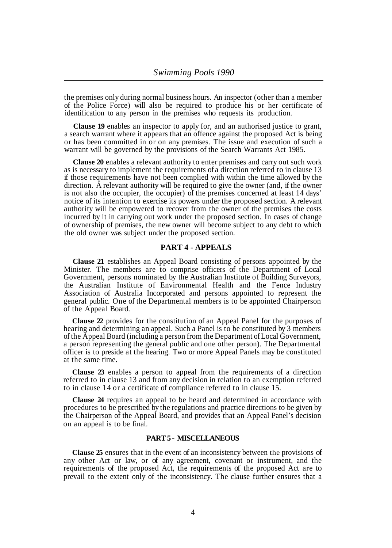the premises only during normal business hours. An inspector (other than a member of the Police Force) will also be required to produce his or her certificate of identification to any person in the premises who requests its production.

**Clause 19** enables an inspector to apply for, and an authorised justice to grant, a search warrant where it appears that an offence against the proposed Act is being or has been committed in or on any premises. The issue and execution of such a warrant will be governed by the provisions of the Search Warrants Act 1985.

**Clause 20** enables a relevant authority to enter premises and carry out such work as is necessary to implement the requirements of a direction referred to in clause 13 if those requirements have not been complied with within the time allowed by the direction. A relevant authority will be required to give the owner (and, if the owner is not also the occupier, the occupier) of the premises concerned at least 14 days' notice of its intention to exercise its powers under the proposed section. A relevant authority will be empowered to recover from the owner of the premises the costs incurred by it in carrying out work under the proposed section. In cases of change of ownership of premises, the new owner will become subject to any debt to which the old owner was subject under the proposed section.

## **PART 4 - APPEALS**

**Clause 21** establishes an Appeal Board consisting of persons appointed by the Minister. The members are to comprise officers of the Department of Local Government, persons nominated by the Australian Institute of Building Surveyors, the Australian Institute of Environmental Health and the Fence Industry Association of Australia Incorporated and persons appointed to represent the general public. One of the Departmental members is to be appointed Chairperson of the Appeal Board.

**Clause 22** provides for the constitution of an Appeal Panel for the purposes of hearing and determining an appeal. Such a Panel is to be constituted by 3 members of the Appeal Board (including a person from the Department of Local Government, a person representing the general public and one other person). The Departmental officer is to preside at the hearing. Two or more Appeal Panels may be constituted at the same time.

**Clause 23** enables a person to appeal from the requirements of a direction referred to in clause 13 and from any decision in relation to an exemption referred to in clause 14 or a certificate of compliance referred to in clause 15.

**Clause 24** requires an appeal to be heard and determined in accordance with procedures to be prescribed by the regulations and practice directions to be given by the Chairperson of the Appeal Board, and provides that an Appeal Panel's decision on an appeal is to be final.

# **PART 5 - MISCELLANEOUS**

**Clause 25** ensures that in the event of an inconsistency between the provisions of any other Act or law, or of any agreement, covenant or instrument, and the requirements of the proposed Act, the requirements of the proposed Act are to prevail to the extent only of the inconsistency. The clause further ensures that a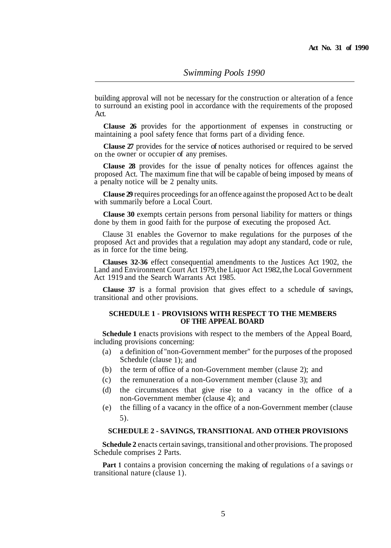building approval will not be necessary for the construction or alteration of a fence to surround an existing pool in accordance with the requirements of the proposed Act.

**Clause 26** provides for the apportionment of expenses in constructing or maintaining a pool safety fence that forms part of a dividing fence.

**Clause 27** provides for the service of notices authorised or required to be served on the owner or occupier of any premises.

**Clause 28** provides for the issue of penalty notices for offences against the proposed Act. The maximum fine that will be capable of being imposed by means of a penalty notice will be 2 penalty units.

**Clause 29** requires proceedings for an offence against the proposed Act to be dealt with summarily before a Local Court.

**Clause 30** exempts certain persons from personal liability for matters or things done by them in good faith for the purpose of executing the proposed Act.

Clause 31 enables the Governor to make regulations for the purposes of the proposed Act and provides that a regulation may adopt any standard, code or rule, as in force for the time being.

**Clauses 32-36** effect consequential amendments to the Justices Act 1902, the Land and Environment Court Act 1979, the Liquor Act 1982, the Local Government Act 1919 and the Search Warrants Act 1985.

**Clause 37** is a formal provision that gives effect to a schedule of savings, transitional and other provisions.

### **SCHEDULE 1** - **PROVISIONS WITH RESPECT TO THE MEMBERS OF THE APPEAL BOARD**

**Schedule 1** enacts provisions with respect to the members of the Appeal Board, including provisions concerning:

- (a) a definition of "non-Government member" for the purposes of the proposed Schedule (clause 1); and
- (b) the term of office of a non-Government member (clause 2); and
- (c) the remuneration of a non-Government member (clause 3); and
- (d) the circumstances that give rise to a vacancy in the office of a non-Government member (clause 4); and
- (e) the filling of a vacancy in the office of a non-Government member (clause 5).

### **SCHEDULE 2 - SAVINGS, TRANSITIONAL AND OTHER PROVISIONS**

**Schedule 2** enacts certain savings, transitional and other provisions. The proposed Schedule comprises 2 Parts.

**Part 1** contains a provision concerning the making of regulations of a savings or transitional nature (clause 1).